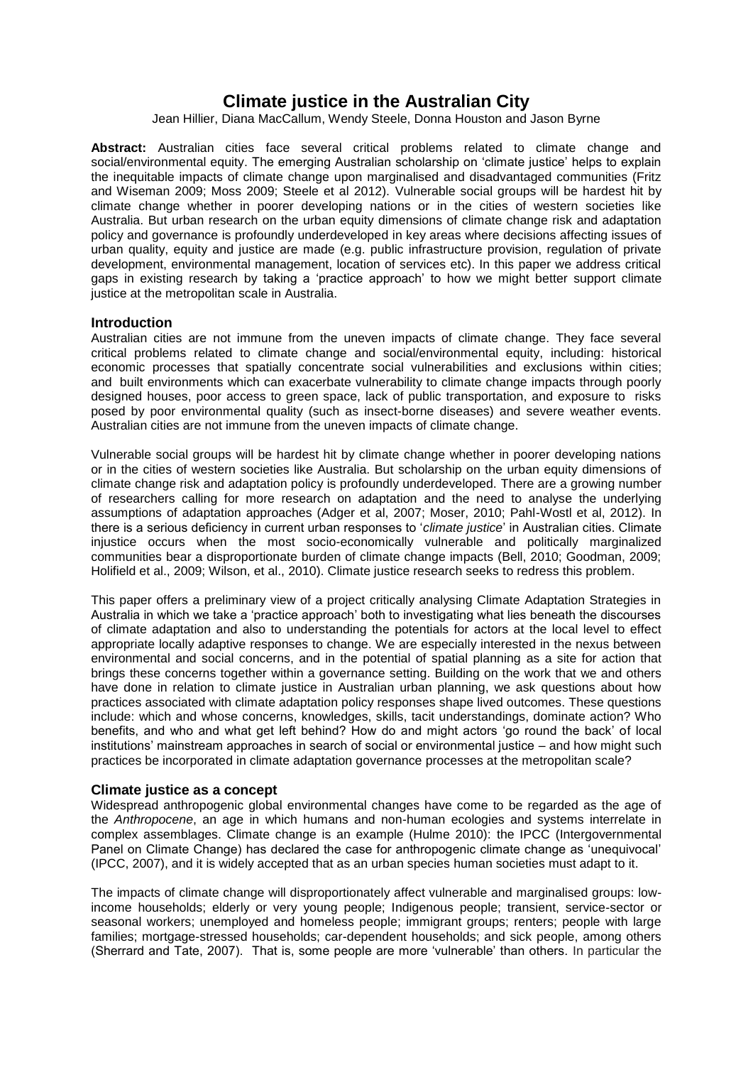# **Climate justice in the Australian City**

Jean Hillier, Diana MacCallum, Wendy Steele, Donna Houston and Jason Byrne

**Abstract:** Australian cities face several critical problems related to climate change and social/environmental equity. The emerging Australian scholarship on 'climate justice' helps to explain the inequitable impacts of climate change upon marginalised and disadvantaged communities (Fritz and Wiseman 2009; Moss 2009; Steele et al 2012). Vulnerable social groups will be hardest hit by climate change whether in poorer developing nations or in the cities of western societies like Australia. But urban research on the urban equity dimensions of climate change risk and adaptation policy and governance is profoundly underdeveloped in key areas where decisions affecting issues of urban quality, equity and justice are made (e.g. public infrastructure provision, regulation of private development, environmental management, location of services etc). In this paper we address critical gaps in existing research by taking a 'practice approach' to how we might better support climate justice at the metropolitan scale in Australia.

#### **Introduction**

Australian cities are not immune from the uneven impacts of climate change. They face several critical problems related to climate change and social/environmental equity, including: historical economic processes that spatially concentrate social vulnerabilities and exclusions within cities; and built environments which can exacerbate vulnerability to climate change impacts through poorly designed houses, poor access to green space, lack of public transportation, and exposure to risks posed by poor environmental quality (such as insect-borne diseases) and severe weather events. Australian cities are not immune from the uneven impacts of climate change.

Vulnerable social groups will be hardest hit by climate change whether in poorer developing nations or in the cities of western societies like Australia. But scholarship on the urban equity dimensions of climate change risk and adaptation policy is profoundly underdeveloped. There are a growing number of researchers calling for more research on adaptation and the need to analyse the underlying assumptions of adaptation approaches (Adger et al, 2007; Moser, 2010; Pahl-Wostl et al, 2012). In there is a serious deficiency in current urban responses to '*climate justice*' in Australian cities. Climate injustice occurs when the most socio-economically vulnerable and politically marginalized communities bear a disproportionate burden of climate change impacts (Bell, 2010; Goodman, 2009; Holifield et al., 2009; Wilson, et al., 2010). Climate justice research seeks to redress this problem.

This paper offers a preliminary view of a project critically analysing Climate Adaptation Strategies in Australia in which we take a 'practice approach' both to investigating what lies beneath the discourses of climate adaptation and also to understanding the potentials for actors at the local level to effect appropriate locally adaptive responses to change. We are especially interested in the nexus between environmental and social concerns, and in the potential of spatial planning as a site for action that brings these concerns together within a governance setting. Building on the work that we and others have done in relation to climate justice in Australian urban planning, we ask questions about how practices associated with climate adaptation policy responses shape lived outcomes. These questions include: which and whose concerns, knowledges, skills, tacit understandings, dominate action? Who benefits, and who and what get left behind? How do and might actors 'go round the back' of local institutions' mainstream approaches in search of social or environmental justice – and how might such practices be incorporated in climate adaptation governance processes at the metropolitan scale?

#### **Climate justice as a concept**

Widespread anthropogenic global environmental changes have come to be regarded as the age of the *Anthropocene*, an age in which humans and non-human ecologies and systems interrelate in complex assemblages. Climate change is an example (Hulme 2010): the IPCC (Intergovernmental Panel on Climate Change) has declared the case for anthropogenic climate change as 'unequivocal' (IPCC, 2007), and it is widely accepted that as an urban species human societies must adapt to it.

The impacts of climate change will disproportionately affect vulnerable and marginalised groups: lowincome households; elderly or very young people; Indigenous people; transient, service-sector or seasonal workers; unemployed and homeless people; immigrant groups; renters; people with large families; mortgage-stressed households; car-dependent households; and sick people, among others (Sherrard and Tate, 2007). That is, some people are more 'vulnerable' than others. In particular the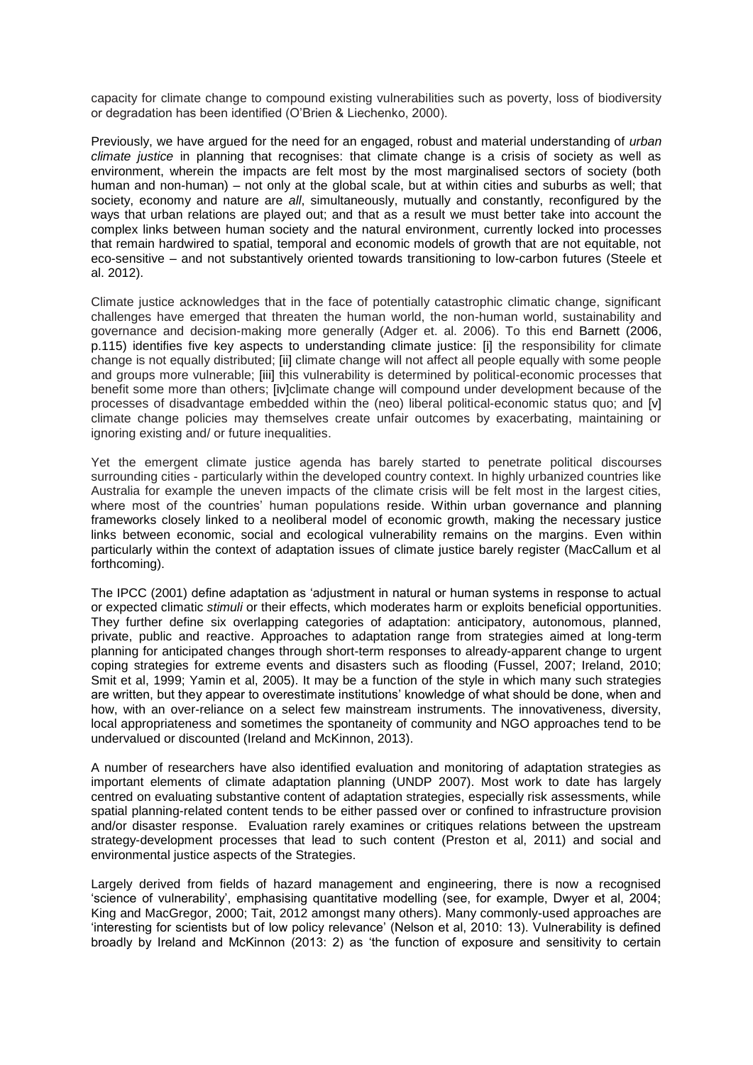capacity for climate change to compound existing vulnerabilities such as poverty, loss of biodiversity or degradation has been identified (O'Brien & Liechenko, 2000).

Previously, we have argued for the need for an engaged, robust and material understanding of *urban climate justice* in planning that recognises: that climate change is a crisis of society as well as environment, wherein the impacts are felt most by the most marginalised sectors of society (both human and non-human) – not only at the global scale, but at within cities and suburbs as well; that society, economy and nature are *all*, simultaneously, mutually and constantly, reconfigured by the ways that urban relations are played out; and that as a result we must better take into account the complex links between human society and the natural environment, currently locked into processes that remain hardwired to spatial, temporal and economic models of growth that are not equitable, not eco-sensitive – and not substantively oriented towards transitioning to low-carbon futures (Steele et al. 2012).

Climate justice acknowledges that in the face of potentially catastrophic climatic change, significant challenges have emerged that threaten the human world, the non-human world, sustainability and governance and decision-making more generally (Adger et. al. 2006). To this end Barnett (2006, p.115) identifies five key aspects to understanding climate justice: [i] the responsibility for climate change is not equally distributed; [ii] climate change will not affect all people equally with some people and groups more vulnerable; [iii] this vulnerability is determined by political-economic processes that benefit some more than others; [iv]climate change will compound under development because of the processes of disadvantage embedded within the (neo) liberal political-economic status quo; and [v] climate change policies may themselves create unfair outcomes by exacerbating, maintaining or ignoring existing and/ or future inequalities.

Yet the emergent climate justice agenda has barely started to penetrate political discourses surrounding cities - particularly within the developed country context. In highly urbanized countries like Australia for example the uneven impacts of the climate crisis will be felt most in the largest cities, where most of the countries' human populations reside. Within urban governance and planning frameworks closely linked to a neoliberal model of economic growth, making the necessary justice links between economic, social and ecological vulnerability remains on the margins. Even within particularly within the context of adaptation issues of climate justice barely register (MacCallum et al forthcoming).

The IPCC (2001) define adaptation as 'adjustment in natural or human systems in response to actual or expected climatic *stimuli* or their effects, which moderates harm or exploits beneficial opportunities. They further define six overlapping categories of adaptation: anticipatory, autonomous, planned, private, public and reactive. Approaches to adaptation range from strategies aimed at long-term planning for anticipated changes through short-term responses to already-apparent change to urgent coping strategies for extreme events and disasters such as flooding (Fussel, 2007; Ireland, 2010; Smit et al, 1999; Yamin et al, 2005). It may be a function of the style in which many such strategies are written, but they appear to overestimate institutions' knowledge of what should be done, when and how, with an over-reliance on a select few mainstream instruments. The innovativeness, diversity, local appropriateness and sometimes the spontaneity of community and NGO approaches tend to be undervalued or discounted (Ireland and McKinnon, 2013).

A number of researchers have also identified evaluation and monitoring of adaptation strategies as important elements of climate adaptation planning (UNDP 2007). Most work to date has largely centred on evaluating substantive content of adaptation strategies, especially risk assessments, while spatial planning-related content tends to be either passed over or confined to infrastructure provision and/or disaster response. Evaluation rarely examines or critiques relations between the upstream strategy-development processes that lead to such content (Preston et al, 2011) and social and environmental justice aspects of the Strategies.

Largely derived from fields of hazard management and engineering, there is now a recognised 'science of vulnerability', emphasising quantitative modelling (see, for example, Dwyer et al, 2004; King and MacGregor, 2000; Tait, 2012 amongst many others). Many commonly-used approaches are 'interesting for scientists but of low policy relevance' (Nelson et al, 2010: 13). Vulnerability is defined broadly by Ireland and McKinnon (2013: 2) as 'the function of exposure and sensitivity to certain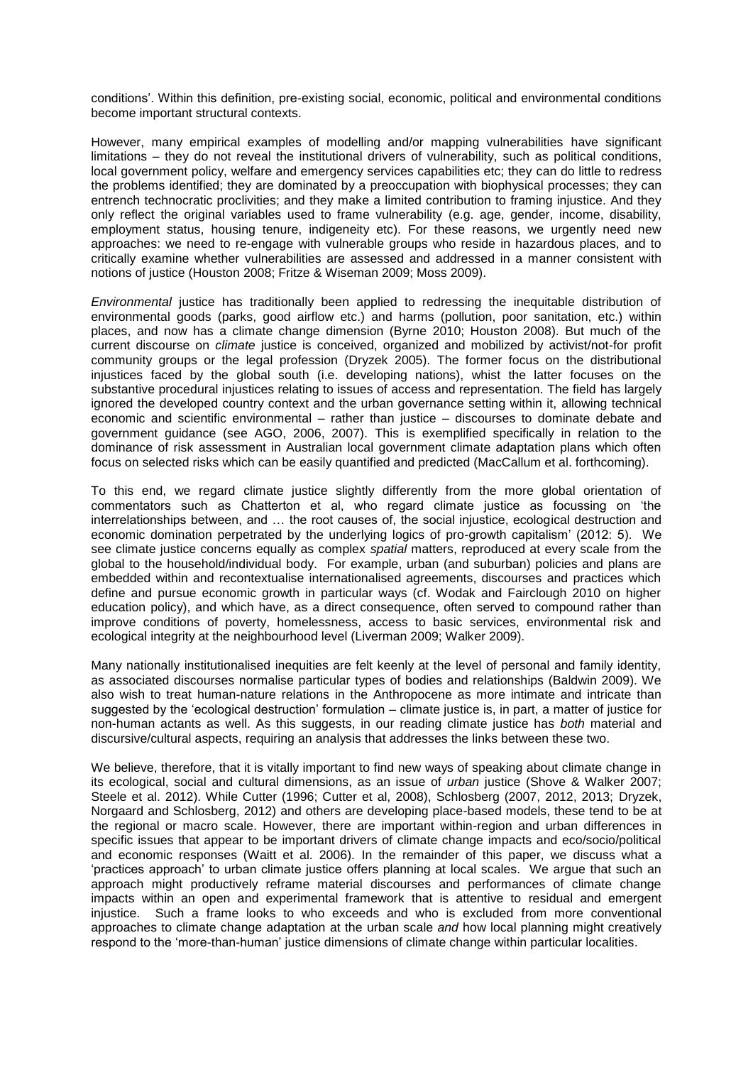conditions'. Within this definition, pre-existing social, economic, political and environmental conditions become important structural contexts.

However, many empirical examples of modelling and/or mapping vulnerabilities have significant limitations – they do not reveal the institutional drivers of vulnerability, such as political conditions, local government policy, welfare and emergency services capabilities etc; they can do little to redress the problems identified; they are dominated by a preoccupation with biophysical processes; they can entrench technocratic proclivities; and they make a limited contribution to framing injustice. And they only reflect the original variables used to frame vulnerability (e.g. age, gender, income, disability, employment status, housing tenure, indigeneity etc). For these reasons, we urgently need new approaches: we need to re-engage with vulnerable groups who reside in hazardous places, and to critically examine whether vulnerabilities are assessed and addressed in a manner consistent with notions of justice (Houston 2008; Fritze & Wiseman 2009; Moss 2009).

*Environmental* justice has traditionally been applied to redressing the inequitable distribution of environmental goods (parks, good airflow etc.) and harms (pollution, poor sanitation, etc.) within places, and now has a climate change dimension (Byrne 2010; Houston 2008). But much of the current discourse on *climate* justice is conceived, organized and mobilized by activist/not-for profit community groups or the legal profession (Dryzek 2005). The former focus on the distributional injustices faced by the global south (i.e. developing nations), whist the latter focuses on the substantive procedural injustices relating to issues of access and representation. The field has largely ignored the developed country context and the urban governance setting within it, allowing technical economic and scientific environmental – rather than justice – discourses to dominate debate and government guidance (see AGO, 2006, 2007). This is exemplified specifically in relation to the dominance of risk assessment in Australian local government climate adaptation plans which often focus on selected risks which can be easily quantified and predicted (MacCallum et al. forthcoming).

To this end, we regard climate justice slightly differently from the more global orientation of commentators such as Chatterton et al, who regard climate justice as focussing on 'the interrelationships between, and … the root causes of, the social injustice, ecological destruction and economic domination perpetrated by the underlying logics of pro-growth capitalism' (2012: 5). We see climate justice concerns equally as complex *spatial* matters, reproduced at every scale from the global to the household/individual body. For example, urban (and suburban) policies and plans are embedded within and recontextualise internationalised agreements, discourses and practices which define and pursue economic growth in particular ways (cf. Wodak and Fairclough 2010 on higher education policy), and which have, as a direct consequence, often served to compound rather than improve conditions of poverty, homelessness, access to basic services, environmental risk and ecological integrity at the neighbourhood level (Liverman 2009; Walker 2009).

Many nationally institutionalised inequities are felt keenly at the level of personal and family identity, as associated discourses normalise particular types of bodies and relationships (Baldwin 2009). We also wish to treat human-nature relations in the Anthropocene as more intimate and intricate than suggested by the 'ecological destruction' formulation – climate justice is, in part, a matter of justice for non-human actants as well. As this suggests, in our reading climate justice has *both* material and discursive/cultural aspects, requiring an analysis that addresses the links between these two.

We believe, therefore, that it is vitally important to find new ways of speaking about climate change in its ecological, social and cultural dimensions, as an issue of *urban* justice (Shove & Walker 2007; Steele et al. 2012). While Cutter (1996; Cutter et al, 2008), Schlosberg (2007, 2012, 2013; Dryzek, Norgaard and Schlosberg, 2012) and others are developing place-based models, these tend to be at the regional or macro scale. However, there are important within-region and urban differences in specific issues that appear to be important drivers of climate change impacts and eco/socio/political and economic responses (Waitt et al. 2006). In the remainder of this paper, we discuss what a 'practices approach' to urban climate justice offers planning at local scales. We argue that such an approach might productively reframe material discourses and performances of climate change impacts within an open and experimental framework that is attentive to residual and emergent injustice. Such a frame looks to who exceeds and who is excluded from more conventional approaches to climate change adaptation at the urban scale *and* how local planning might creatively respond to the 'more-than-human' justice dimensions of climate change within particular localities.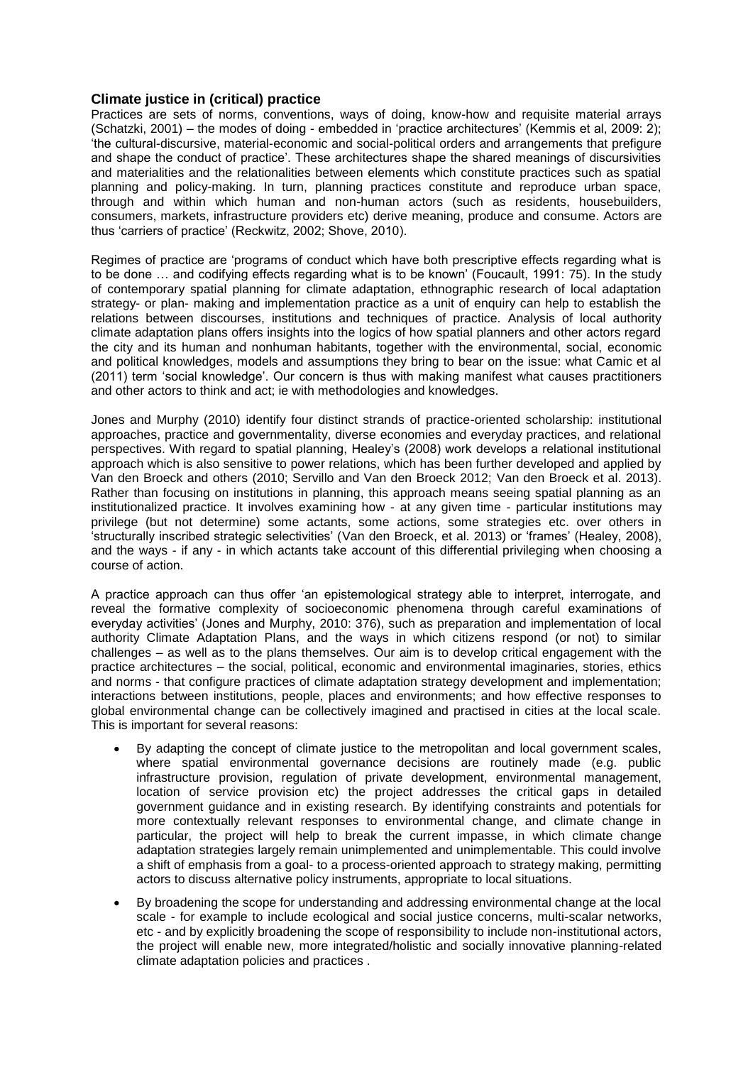# **Climate justice in (critical) practice**

Practices are sets of norms, conventions, ways of doing, know-how and requisite material arrays (Schatzki, 2001) – the modes of doing - embedded in 'practice architectures' (Kemmis et al, 2009: 2); 'the cultural-discursive, material-economic and social-political orders and arrangements that prefigure and shape the conduct of practice'. These architectures shape the shared meanings of discursivities and materialities and the relationalities between elements which constitute practices such as spatial planning and policy-making. In turn, planning practices constitute and reproduce urban space, through and within which human and non-human actors (such as residents, housebuilders, consumers, markets, infrastructure providers etc) derive meaning, produce and consume. Actors are thus 'carriers of practice' (Reckwitz, 2002; Shove, 2010).

Regimes of practice are 'programs of conduct which have both prescriptive effects regarding what is to be done … and codifying effects regarding what is to be known' (Foucault, 1991: 75). In the study of contemporary spatial planning for climate adaptation, ethnographic research of local adaptation strategy- or plan- making and implementation practice as a unit of enquiry can help to establish the relations between discourses, institutions and techniques of practice. Analysis of local authority climate adaptation plans offers insights into the logics of how spatial planners and other actors regard the city and its human and nonhuman habitants, together with the environmental, social, economic and political knowledges, models and assumptions they bring to bear on the issue: what Camic et al (2011) term 'social knowledge'. Our concern is thus with making manifest what causes practitioners and other actors to think and act; ie with methodologies and knowledges.

Jones and Murphy (2010) identify four distinct strands of practice-oriented scholarship: institutional approaches, practice and governmentality, diverse economies and everyday practices, and relational perspectives. With regard to spatial planning, Healey's (2008) work develops a relational institutional approach which is also sensitive to power relations, which has been further developed and applied by Van den Broeck and others (2010; Servillo and Van den Broeck 2012; Van den Broeck et al. 2013). Rather than focusing on institutions in planning, this approach means seeing spatial planning as an institutionalized practice. It involves examining how - at any given time - particular institutions may privilege (but not determine) some actants, some actions, some strategies etc. over others in 'structurally inscribed strategic selectivities' (Van den Broeck, et al. 2013) or 'frames' (Healey, 2008), and the ways - if any - in which actants take account of this differential privileging when choosing a course of action.

A practice approach can thus offer 'an epistemological strategy able to interpret, interrogate, and reveal the formative complexity of socioeconomic phenomena through careful examinations of everyday activities' (Jones and Murphy, 2010: 376), such as preparation and implementation of local authority Climate Adaptation Plans, and the ways in which citizens respond (or not) to similar challenges – as well as to the plans themselves. Our aim is to develop critical engagement with the practice architectures – the social, political, economic and environmental imaginaries, stories, ethics and norms - that configure practices of climate adaptation strategy development and implementation; interactions between institutions, people, places and environments; and how effective responses to global environmental change can be collectively imagined and practised in cities at the local scale. This is important for several reasons:

- By adapting the concept of climate justice to the metropolitan and local government scales, where spatial environmental governance decisions are routinely made (e.g. public infrastructure provision, regulation of private development, environmental management, location of service provision etc) the project addresses the critical gaps in detailed government guidance and in existing research. By identifying constraints and potentials for more contextually relevant responses to environmental change, and climate change in particular, the project will help to break the current impasse, in which climate change adaptation strategies largely remain unimplemented and unimplementable. This could involve a shift of emphasis from a goal- to a process-oriented approach to strategy making, permitting actors to discuss alternative policy instruments, appropriate to local situations.
- By broadening the scope for understanding and addressing environmental change at the local scale - for example to include ecological and social justice concerns, multi-scalar networks, etc - and by explicitly broadening the scope of responsibility to include non-institutional actors, the project will enable new, more integrated/holistic and socially innovative planning-related climate adaptation policies and practices .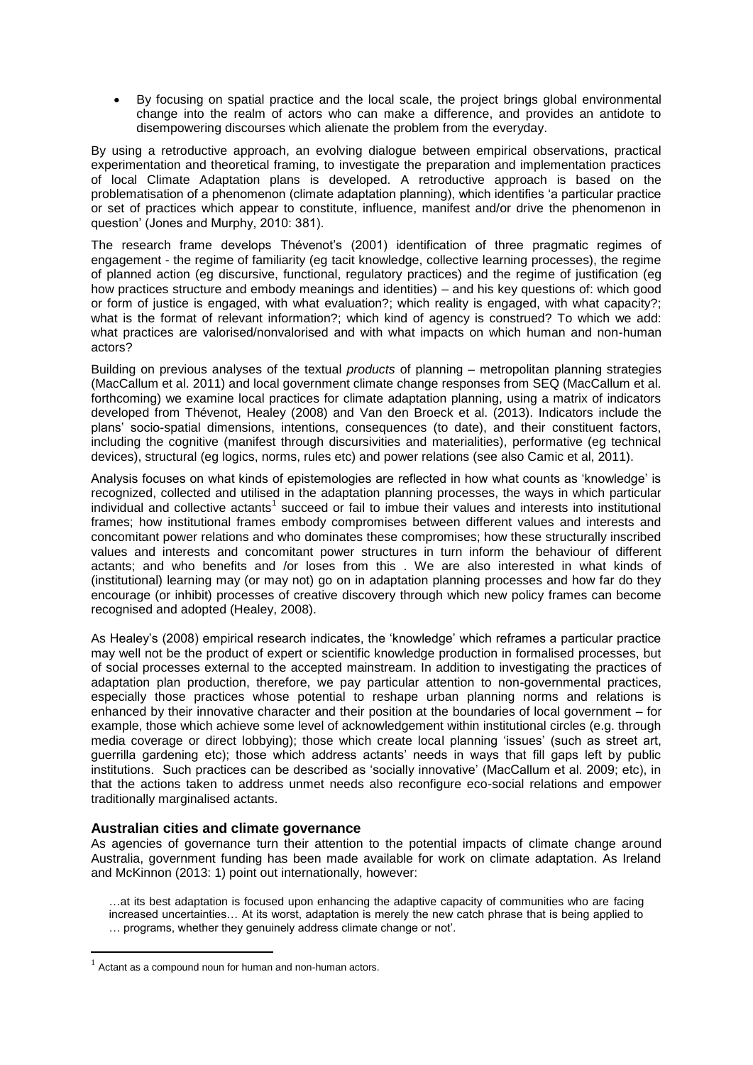By focusing on spatial practice and the local scale, the project brings global environmental change into the realm of actors who can make a difference, and provides an antidote to disempowering discourses which alienate the problem from the everyday.

By using a retroductive approach, an evolving dialogue between empirical observations, practical experimentation and theoretical framing, to investigate the preparation and implementation practices of local Climate Adaptation plans is developed. A retroductive approach is based on the problematisation of a phenomenon (climate adaptation planning), which identifies 'a particular practice or set of practices which appear to constitute, influence, manifest and/or drive the phenomenon in question' (Jones and Murphy, 2010: 381).

The research frame develops Thévenot's (2001) identification of three pragmatic regimes of engagement - the regime of familiarity (eg tacit knowledge, collective learning processes), the regime of planned action (eg discursive, functional, regulatory practices) and the regime of justification (eg how practices structure and embody meanings and identities) – and his key questions of: which good or form of justice is engaged, with what evaluation?; which reality is engaged, with what capacity?; what is the format of relevant information?; which kind of agency is construed? To which we add: what practices are valorised/nonvalorised and with what impacts on which human and non-human actors?

Building on previous analyses of the textual *products* of planning – metropolitan planning strategies (MacCallum et al. 2011) and local government climate change responses from SEQ (MacCallum et al. forthcoming) we examine local practices for climate adaptation planning, using a matrix of indicators developed from Thévenot, Healey (2008) and Van den Broeck et al. (2013). Indicators include the plans' socio-spatial dimensions, intentions, consequences (to date), and their constituent factors, including the cognitive (manifest through discursivities and materialities), performative (eg technical devices), structural (eg logics, norms, rules etc) and power relations (see also Camic et al, 2011).

Analysis focuses on what kinds of epistemologies are reflected in how what counts as 'knowledge' is recognized, collected and utilised in the adaptation planning processes, the ways in which particular individual and collective actants<sup>1</sup> succeed or fail to imbue their values and interests into institutional frames; how institutional frames embody compromises between different values and interests and concomitant power relations and who dominates these compromises; how these structurally inscribed values and interests and concomitant power structures in turn inform the behaviour of different actants; and who benefits and /or loses from this . We are also interested in what kinds of (institutional) learning may (or may not) go on in adaptation planning processes and how far do they encourage (or inhibit) processes of creative discovery through which new policy frames can become recognised and adopted (Healey, 2008).

As Healey's (2008) empirical research indicates, the 'knowledge' which reframes a particular practice may well not be the product of expert or scientific knowledge production in formalised processes, but of social processes external to the accepted mainstream. In addition to investigating the practices of adaptation plan production, therefore, we pay particular attention to non-governmental practices, especially those practices whose potential to reshape urban planning norms and relations is enhanced by their innovative character and their position at the boundaries of local government – for example, those which achieve some level of acknowledgement within institutional circles (e.g. through media coverage or direct lobbying); those which create local planning 'issues' (such as street art, guerrilla gardening etc); those which address actants' needs in ways that fill gaps left by public institutions. Such practices can be described as 'socially innovative' (MacCallum et al. 2009; etc), in that the actions taken to address unmet needs also reconfigure eco-social relations and empower traditionally marginalised actants.

# **Australian cities and climate governance**

As agencies of governance turn their attention to the potential impacts of climate change around Australia, government funding has been made available for work on climate adaptation. As Ireland and McKinnon (2013: 1) point out internationally, however:

…at its best adaptation is focused upon enhancing the adaptive capacity of communities who are facing increased uncertainties… At its worst, adaptation is merely the new catch phrase that is being applied to … programs, whether they genuinely address climate change or not'.

1

 $1$  Actant as a compound noun for human and non-human actors.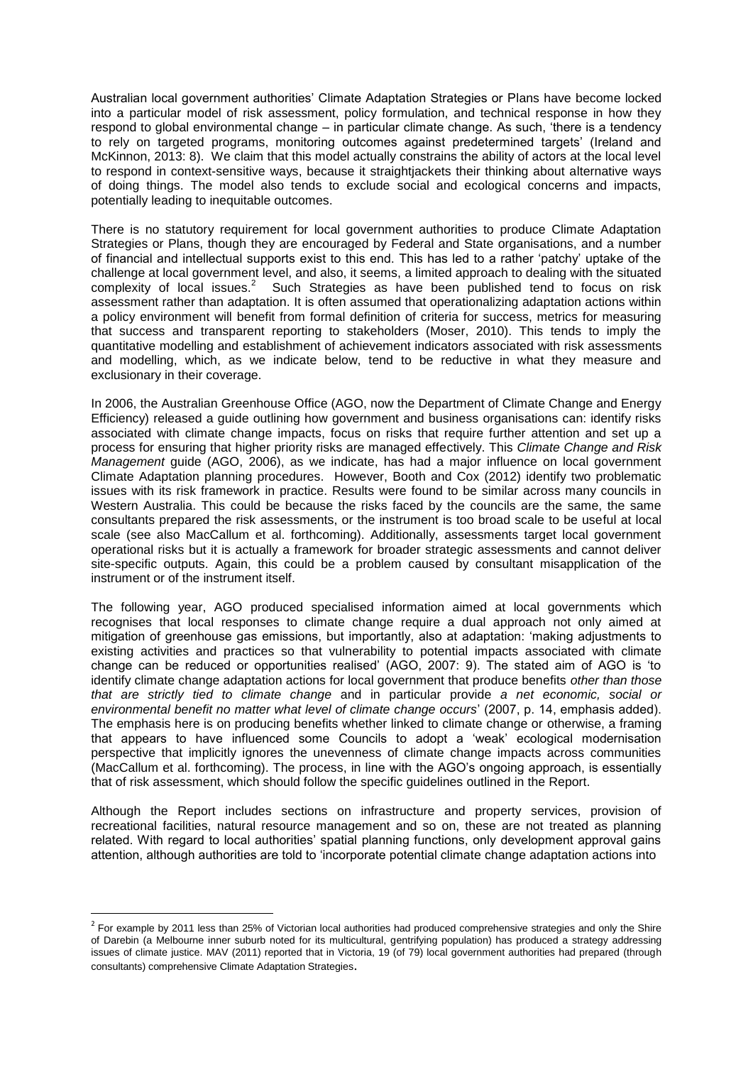Australian local government authorities' Climate Adaptation Strategies or Plans have become locked into a particular model of risk assessment, policy formulation, and technical response in how they respond to global environmental change – in particular climate change. As such, 'there is a tendency to rely on targeted programs, monitoring outcomes against predetermined targets' (Ireland and McKinnon, 2013: 8). We claim that this model actually constrains the ability of actors at the local level to respond in context-sensitive ways, because it straightjackets their thinking about alternative ways of doing things. The model also tends to exclude social and ecological concerns and impacts, potentially leading to inequitable outcomes.

There is no statutory requirement for local government authorities to produce Climate Adaptation Strategies or Plans, though they are encouraged by Federal and State organisations, and a number of financial and intellectual supports exist to this end. This has led to a rather 'patchy' uptake of the challenge at local government level, and also, it seems, a limited approach to dealing with the situated  $complexity$  of local issues.<sup>2</sup> Such Strategies as have been published tend to focus on risk assessment rather than adaptation. It is often assumed that operationalizing adaptation actions within a policy environment will benefit from formal definition of criteria for success, metrics for measuring that success and transparent reporting to stakeholders (Moser, 2010). This tends to imply the quantitative modelling and establishment of achievement indicators associated with risk assessments and modelling, which, as we indicate below, tend to be reductive in what they measure and exclusionary in their coverage.

In 2006, the Australian Greenhouse Office (AGO, now the Department of Climate Change and Energy Efficiency) released a guide outlining how government and business organisations can: identify risks associated with climate change impacts, focus on risks that require further attention and set up a process for ensuring that higher priority risks are managed effectively. This *Climate Change and Risk Management* guide (AGO, 2006), as we indicate, has had a major influence on local government Climate Adaptation planning procedures. However, Booth and Cox (2012) identify two problematic issues with its risk framework in practice. Results were found to be similar across many councils in Western Australia. This could be because the risks faced by the councils are the same, the same consultants prepared the risk assessments, or the instrument is too broad scale to be useful at local scale (see also MacCallum et al. forthcoming). Additionally, assessments target local government operational risks but it is actually a framework for broader strategic assessments and cannot deliver site-specific outputs. Again, this could be a problem caused by consultant misapplication of the instrument or of the instrument itself.

The following year, AGO produced specialised information aimed at local governments which recognises that local responses to climate change require a dual approach not only aimed at mitigation of greenhouse gas emissions, but importantly, also at adaptation: 'making adjustments to existing activities and practices so that vulnerability to potential impacts associated with climate change can be reduced or opportunities realised' (AGO, 2007: 9). The stated aim of AGO is 'to identify climate change adaptation actions for local government that produce benefits *other than those that are strictly tied to climate change* and in particular provide *a net economic, social or environmental benefit no matter what level of climate change occurs*' (2007, p. 14, emphasis added). The emphasis here is on producing benefits whether linked to climate change or otherwise, a framing that appears to have influenced some Councils to adopt a 'weak' ecological modernisation perspective that implicitly ignores the unevenness of climate change impacts across communities (MacCallum et al. forthcoming). The process, in line with the AGO's ongoing approach, is essentially that of risk assessment, which should follow the specific guidelines outlined in the Report.

Although the Report includes sections on infrastructure and property services, provision of recreational facilities, natural resource management and so on, these are not treated as planning related. With regard to local authorities' spatial planning functions, only development approval gains attention, although authorities are told to 'incorporate potential climate change adaptation actions into

1

<sup>&</sup>lt;sup>2</sup> For example by 2011 less than 25% of Victorian local authorities had produced comprehensive strategies and only the Shire of Darebin (a Melbourne inner suburb noted for its multicultural, gentrifying population) has produced a strategy addressing issues of climate justice. MAV (2011) reported that in Victoria, 19 (of 79) local government authorities had prepared (through consultants) comprehensive Climate Adaptation Strategies.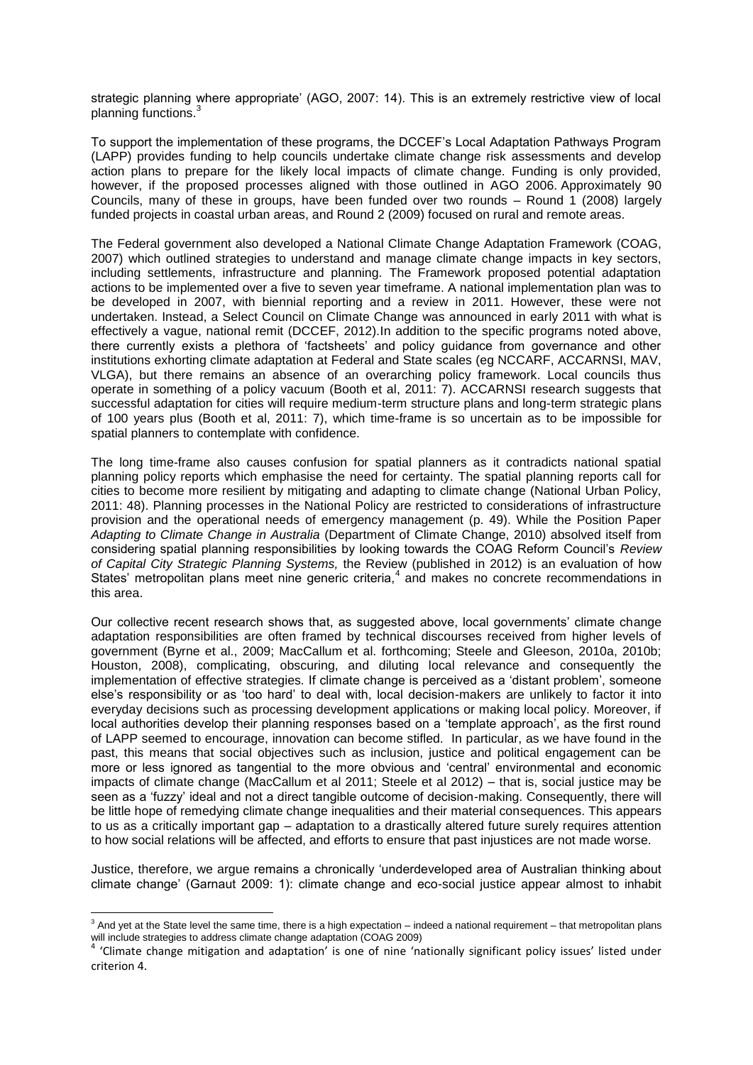strategic planning where appropriate' (AGO, 2007: 14). This is an extremely restrictive view of local planning functions.<sup>3</sup>

To support the implementation of these programs, the DCCEF's Local Adaptation Pathways Program (LAPP) provides funding to help councils undertake climate change risk assessments and develop action plans to prepare for the likely local impacts of climate change. Funding is only provided, however, if the proposed processes aligned with those outlined in AGO 2006. Approximately 90 Councils, many of these in groups, have been funded over two rounds - Round 1 (2008) largely funded projects in coastal urban areas, and Round 2 (2009) focused on rural and remote areas.

The Federal government also developed a National Climate Change Adaptation Framework (COAG, 2007) which outlined strategies to understand and manage climate change impacts in key sectors, including settlements, infrastructure and planning. The Framework proposed potential adaptation actions to be implemented over a five to seven year timeframe. A national implementation plan was to be developed in 2007, with biennial reporting and a review in 2011. However, these were not undertaken. Instead, a Select Council on Climate Change was announced in early 2011 with what is effectively a vague, national remit (DCCEF, 2012).In addition to the specific programs noted above, there currently exists a plethora of 'factsheets' and policy guidance from governance and other institutions exhorting climate adaptation at Federal and State scales (eg NCCARF, ACCARNSI, MAV, VLGA), but there remains an absence of an overarching policy framework. Local councils thus operate in something of a policy vacuum (Booth et al, 2011: 7). ACCARNSI research suggests that successful adaptation for cities will require medium-term structure plans and long-term strategic plans of 100 years plus (Booth et al, 2011: 7), which time-frame is so uncertain as to be impossible for spatial planners to contemplate with confidence.

The long time-frame also causes confusion for spatial planners as it contradicts national spatial planning policy reports which emphasise the need for certainty. The spatial planning reports call for cities to become more resilient by mitigating and adapting to climate change (National Urban Policy, 2011: 48). Planning processes in the National Policy are restricted to considerations of infrastructure provision and the operational needs of emergency management (p. 49). While the Position Paper *Adapting to Climate Change in Australia* (Department of Climate Change, 2010) absolved itself from considering spatial planning responsibilities by looking towards the COAG Reform Council's *Review of Capital City Strategic Planning Systems,* the Review (published in 2012) is an evaluation of how States' metropolitan plans meet nine generic criteria,<sup>4</sup> and makes no concrete recommendations in this area.

Our collective recent research shows that, as suggested above, local governments' climate change adaptation responsibilities are often framed by technical discourses received from higher levels of government (Byrne et al., 2009; MacCallum et al. forthcoming; Steele and Gleeson, 2010a, 2010b; Houston, 2008), complicating, obscuring, and diluting local relevance and consequently the implementation of effective strategies*.* If climate change is perceived as a 'distant problem', someone else's responsibility or as 'too hard' to deal with, local decision-makers are unlikely to factor it into everyday decisions such as processing development applications or making local policy. Moreover, if local authorities develop their planning responses based on a 'template approach', as the first round of LAPP seemed to encourage, innovation can become stifled. In particular, as we have found in the past, this means that social objectives such as inclusion, justice and political engagement can be more or less ignored as tangential to the more obvious and 'central' environmental and economic impacts of climate change (MacCallum et al 2011; Steele et al 2012) – that is, social justice may be seen as a 'fuzzy' ideal and not a direct tangible outcome of decision-making. Consequently, there will be little hope of remedying climate change inequalities and their material consequences. This appears to us as a critically important gap – adaptation to a drastically altered future surely requires attention to how social relations will be affected, and efforts to ensure that past injustices are not made worse.

Justice, therefore, we argue remains a chronically 'underdeveloped area of Australian thinking about climate change' (Garnaut 2009: 1): climate change and eco-social justice appear almost to inhabit

<u>.</u>

 $3$  And yet at the State level the same time, there is a high expectation – indeed a national requirement – that metropolitan plans will include strategies to address climate change adaptation (COAG 2009)

<sup>&</sup>lt;sup>4</sup> 'Climate change mitigation and adaptation' is one of nine 'nationally significant policy issues' listed under criterion 4.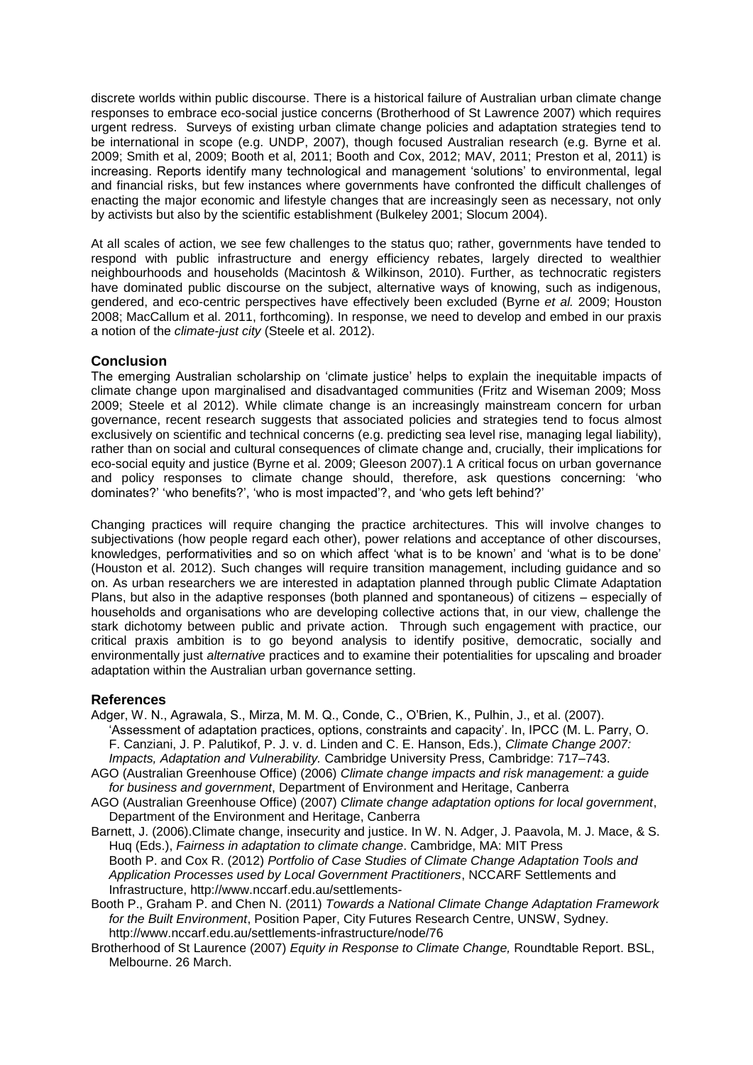discrete worlds within public discourse. There is a historical failure of Australian urban climate change responses to embrace eco-social justice concerns (Brotherhood of St Lawrence 2007) which requires urgent redress. Surveys of existing urban climate change policies and adaptation strategies tend to be international in scope (e.g. UNDP, 2007), though focused Australian research (e.g. Byrne et al. 2009; Smith et al, 2009; Booth et al, 2011; Booth and Cox, 2012; MAV, 2011; Preston et al, 2011) is increasing. Reports identify many technological and management 'solutions' to environmental, legal and financial risks, but few instances where governments have confronted the difficult challenges of enacting the major economic and lifestyle changes that are increasingly seen as necessary, not only by activists but also by the scientific establishment (Bulkeley 2001; Slocum 2004).

At all scales of action, we see few challenges to the status quo; rather, governments have tended to respond with public infrastructure and energy efficiency rebates, largely directed to wealthier neighbourhoods and households (Macintosh & Wilkinson, 2010). Further, as technocratic registers have dominated public discourse on the subject, alternative ways of knowing, such as indigenous, gendered, and eco-centric perspectives have effectively been excluded (Byrne *et al.* 2009; Houston 2008; MacCallum et al. 2011, forthcoming). In response, we need to develop and embed in our praxis a notion of the *climate-just city* (Steele et al. 2012).

#### **Conclusion**

The emerging Australian scholarship on 'climate justice' helps to explain the inequitable impacts of climate change upon marginalised and disadvantaged communities (Fritz and Wiseman 2009; Moss 2009; Steele et al 2012). While climate change is an increasingly mainstream concern for urban governance, recent research suggests that associated policies and strategies tend to focus almost exclusively on scientific and technical concerns (e.g. predicting sea level rise, managing legal liability), rather than on social and cultural consequences of climate change and, crucially, their implications for eco-social equity and justice (Byrne et al. 2009; Gleeson 2007).1 A critical focus on urban governance and policy responses to climate change should, therefore, ask questions concerning: 'who dominates?' 'who benefits?', 'who is most impacted'?, and 'who gets left behind?'

Changing practices will require changing the practice architectures. This will involve changes to subjectivations (how people regard each other), power relations and acceptance of other discourses, knowledges, performativities and so on which affect 'what is to be known' and 'what is to be done' (Houston et al. 2012). Such changes will require transition management, including guidance and so on. As urban researchers we are interested in adaptation planned through public Climate Adaptation Plans, but also in the adaptive responses (both planned and spontaneous) of citizens – especially of households and organisations who are developing collective actions that, in our view, challenge the stark dichotomy between public and private action. Through such engagement with practice, our critical praxis ambition is to go beyond analysis to identify positive, democratic, socially and environmentally just *alternative* practices and to examine their potentialities for upscaling and broader adaptation within the Australian urban governance setting.

# **References**

- Adger, W. N., Agrawala, S., Mirza, M. M. Q., Conde, C., O'Brien, K., Pulhin, J., et al. (2007). 'Assessment of adaptation practices, options, constraints and capacity'. In, IPCC (M. L. Parry, O. F. Canziani, J. P. Palutikof, P. J. v. d. Linden and C. E. Hanson, Eds.), *Climate Change 2007: Impacts, Adaptation and Vulnerability.* Cambridge University Press, Cambridge: 717–743.
- AGO (Australian Greenhouse Office) (2006) *Climate change impacts and risk management: a guide for business and government*, Department of Environment and Heritage, Canberra
- AGO (Australian Greenhouse Office) (2007) *Climate change adaptation options for local government*, Department of the Environment and Heritage, Canberra
- Barnett, J. (2006).Climate change, insecurity and justice. In W. N. Adger, J. Paavola, M. J. Mace, & S. Huq (Eds.), *Fairness in adaptation to climate change*. Cambridge, MA: MIT Press Booth P. and Cox R. (2012) *Portfolio of Case Studies of Climate Change Adaptation Tools and Application Processes used by Local Government Practitioners*, NCCARF Settlements and Infrastructure, http://www.nccarf.edu.au/settlements-
- Booth P., Graham P. and Chen N. (2011) *Towards a National Climate Change Adaptation Framework for the Built Environment*, Position Paper, City Futures Research Centre, UNSW, Sydney. http://www.nccarf.edu.au/settlements-infrastructure/node/76
- Brotherhood of St Laurence (2007) *Equity in Response to Climate Change,* Roundtable Report. BSL, Melbourne. 26 March.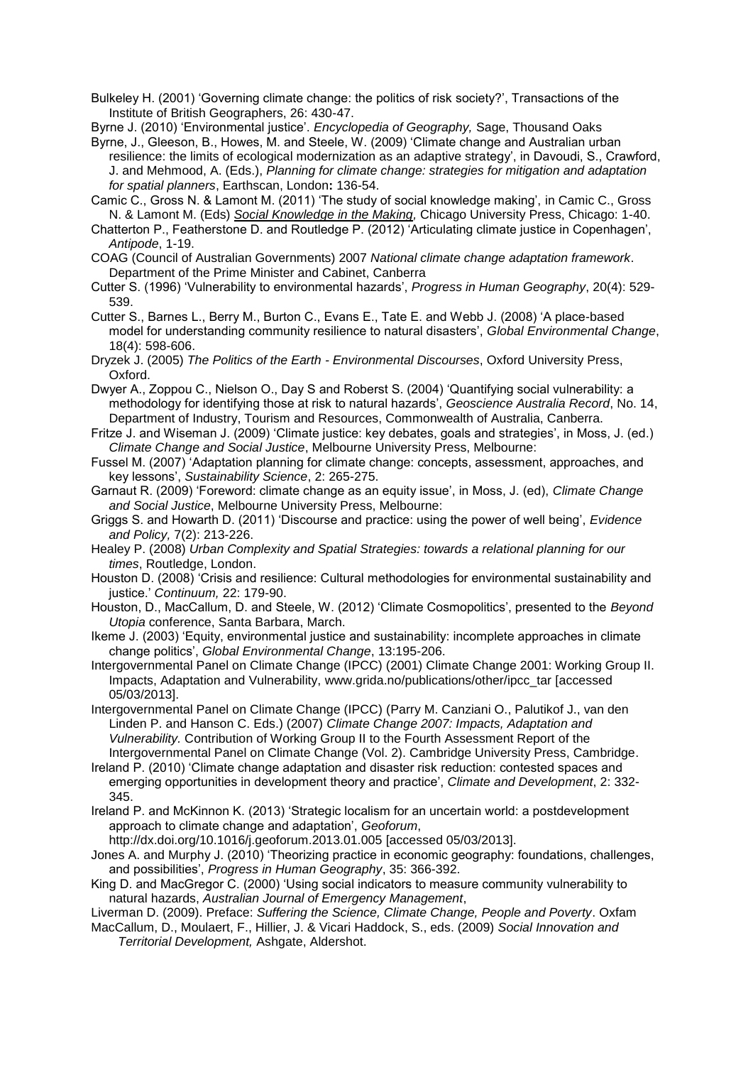Bulkeley H. (2001) 'Governing climate change: the politics of risk society?', Transactions of the Institute of British Geographers, 26: 430-47.

Byrne J. (2010) 'Environmental justice'. *Encyclopedia of Geography,* Sage, Thousand Oaks

- Byrne, J., Gleeson, B., Howes, M. and Steele, W. (2009) 'Climate change and Australian urban resilience: the limits of ecological modernization as an adaptive strategy', in Davoudi, S., Crawford, J. and Mehmood, A. (Eds.), *Planning for climate change: strategies for mitigation and adaptation for spatial planners*, Earthscan, London**:** 136-54.
- Camic C., Gross N. & Lamont M. (2011) 'The study of social knowledge making', in Camic C., Gross N. & Lamont M. (Eds) *Social Knowledge in the Making,* Chicago University Press, Chicago: 1-40.
- Chatterton P., Featherstone D. and Routledge P. (2012) 'Articulating climate justice in Copenhagen', *Antipode*, 1-19.
- COAG (Council of Australian Governments) 2007 *National climate change adaptation framework*. Department of the Prime Minister and Cabinet, Canberra
- Cutter S. (1996) 'Vulnerability to environmental hazards', *Progress in Human Geography*, 20(4): 529- 539.
- Cutter S., Barnes L., Berry M., Burton C., Evans E., Tate E. and Webb J. (2008) 'A place-based model for understanding community resilience to natural disasters', *Global Environmental Change*, 18(4): 598-606.
- Dryzek J. (2005) *The Politics of the Earth - Environmental Discourses*, Oxford University Press, Oxford.
- Dwyer A., Zoppou C., Nielson O., Day S and Roberst S. (2004) 'Quantifying social vulnerability: a methodology for identifying those at risk to natural hazards', *Geoscience Australia Record*, No. 14, Department of Industry, Tourism and Resources, Commonwealth of Australia, Canberra.
- Fritze J. and Wiseman J. (2009) 'Climate justice: key debates, goals and strategies', in Moss, J. (ed.) *Climate Change and Social Justice*, Melbourne University Press, Melbourne:
- Fussel M. (2007) 'Adaptation planning for climate change: concepts, assessment, approaches, and key lessons', *Sustainability Science*, 2: 265-275.
- Garnaut R. (2009) 'Foreword: climate change as an equity issue', in Moss, J. (ed), *Climate Change and Social Justice*, Melbourne University Press, Melbourne:
- Griggs S. and Howarth D. (2011) 'Discourse and practice: using the power of well being', *Evidence and Policy,* 7(2): 213-226.
- Healey P. (2008) *Urban Complexity and Spatial Strategies: towards a relational planning for our times*, Routledge, London.
- Houston D. (2008) 'Crisis and resilience: Cultural methodologies for environmental sustainability and justice.' *Continuum,* 22: 179-90.
- Houston, D., MacCallum, D. and Steele, W. (2012) 'Climate Cosmopolitics', presented to the *Beyond Utopia* conference, Santa Barbara, March.
- Ikeme J. (2003) 'Equity, environmental justice and sustainability: incomplete approaches in climate change politics', *Global Environmental Change*, 13:195-206.
- Intergovernmental Panel on Climate Change (IPCC) (2001) Climate Change 2001: Working Group II. Impacts, Adaptation and Vulnerability, www.grida.no/publications/other/ipcc\_tar [accessed 05/03/2013].
- Intergovernmental Panel on Climate Change (IPCC) (Parry M. Canziani O., Palutikof J., van den Linden P. and Hanson C. Eds.) (2007) *Climate Change 2007: Impacts, Adaptation and Vulnerability.* Contribution of Working Group II to the Fourth Assessment Report of the Intergovernmental Panel on Climate Change (Vol. 2). Cambridge University Press, Cambridge.
- Ireland P. (2010) 'Climate change adaptation and disaster risk reduction: contested spaces and emerging opportunities in development theory and practice', *Climate and Development*, 2: 332- 345.
- Ireland P. and McKinnon K. (2013) 'Strategic localism for an uncertain world: a postdevelopment approach to climate change and adaptation', *Geoforum*,
- http://dx.doi.org/10.1016/j.geoforum.2013.01.005 [accessed 05/03/2013].
- Jones A. and Murphy J. (2010) 'Theorizing practice in economic geography: foundations, challenges, and possibilities', *Progress in Human Geography*, 35: 366-392.
- King D. and MacGregor C. (2000) 'Using social indicators to measure community vulnerability to natural hazards, *Australian Journal of Emergency Management*,

Liverman D. (2009). Preface: *[Suffering the Science, Climate Change, People and Poverty](http://www.oxfam.org/en/policy/bp130-suffering-the-science)*. Oxfam

MacCallum, D., Moulaert, F., Hillier, J. & Vicari Haddock, S., eds. (2009) *Social Innovation and Territorial Development,* Ashgate, Aldershot.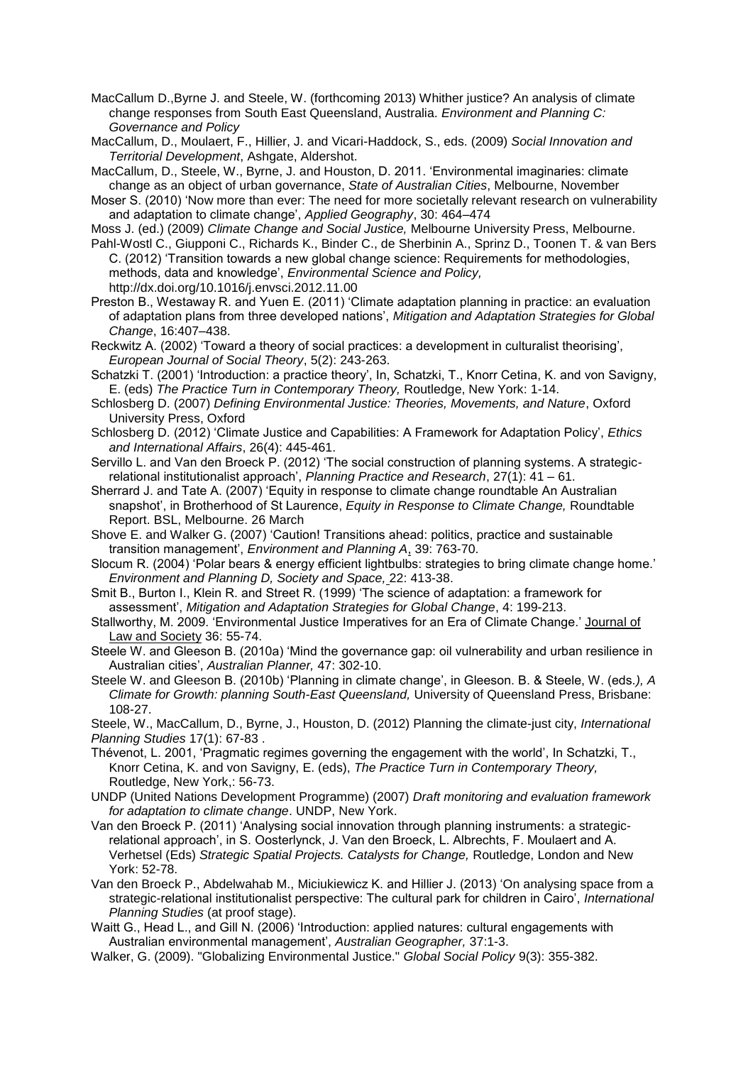- MacCallum D.,Byrne J. and Steele, W. (forthcoming 2013) Whither justice? An analysis of climate change responses from South East Queensland, Australia. *Environment and Planning C: Governance and Policy*
- MacCallum, D., Moulaert, F., Hillier, J. and Vicari-Haddock, S., eds. (2009) *Social Innovation and Territorial Development*, Ashgate, Aldershot.
- MacCallum, D., Steele, W., Byrne, J. and Houston, D. 2011. 'Environmental imaginaries: climate change as an object of urban governance, *State of Australian Cities*, Melbourne, November
- Moser S. (2010) 'Now more than ever: The need for more societally relevant research on vulnerability and adaptation to climate change', *Applied Geography*, 30: 464–474
- Moss J. (ed.) (2009) *Climate Change and Social Justice,* Melbourne University Press, Melbourne.
- Pahl-Wostl C., Giupponi C., Richards K., Binder C., de Sherbinin A., Sprinz D., Toonen T. & van Bers C. (2012) 'Transition towards a new global change science: Requirements for methodologies, methods, data and knowledge', *Environmental Science and Policy,* http://dx.doi.org/10.1016/j.envsci.2012.11.00
- Preston B., Westaway R. and Yuen E. (2011) 'Climate adaptation planning in practice: an evaluation of adaptation plans from three developed nations', *Mitigation and Adaptation Strategies for Global Change*, 16:407–438.
- Reckwitz A. (2002) 'Toward a theory of social practices: a development in culturalist theorising', *European Journal of Social Theory*, 5(2): 243-263.
- Schatzki T. (2001) 'Introduction: a practice theory', In, Schatzki, T., Knorr Cetina, K. and von Savigny, E. (eds) *The Practice Turn in Contemporary Theory,* Routledge, New York: 1-14.
- Schlosberg D. (2007) *Defining Environmental Justice: Theories, Movements, and Nature*, Oxford University Press, Oxford
- Schlosberg D. (2012) 'Climate Justice and Capabilities: A Framework for Adaptation Policy', *Ethics and International Affairs*, 26(4): 445-461.
- Servillo L. and Van den Broeck P. (2012) 'The social construction of planning systems. A strategicrelational institutionalist approach', *Planning Practice and Research*, 27(1): 41 – 61.
- Sherrard J. and Tate A. (2007) 'Equity in response to climate change roundtable An Australian snapshot', in Brotherhood of St Laurence, *Equity in Response to Climate Change,* Roundtable Report. BSL, Melbourne. 26 March
- Shove E. and Walker G. (2007) 'Caution! Transitions ahead: politics, practice and sustainable transition management', *Environment and Planning A*, 39: 763-70.
- Slocum R. (2004) 'Polar bears & energy efficient lightbulbs: strategies to bring climate change home.' *Environment and Planning D, Society and Space,* 22: 413-38.
- Smit B., Burton I., Klein R. and Street R. (1999) 'The science of adaptation: a framework for assessment', *Mitigation and Adaptation Strategies for Global Change*, 4: 199-213.
- Stallworthy, M. 2009. 'Environmental Justice Imperatives for an Era of Climate Change.' Journal of Law and Society 36: 55-74.
- Steele W. and Gleeson B. (2010a) 'Mind the governance gap: oil vulnerability and urban resilience in Australian cities', *Australian Planner,* 47: 302-10.
- Steele W. and Gleeson B. (2010b) 'Planning in climate change', in Gleeson. B. & Steele, W. (eds*.), A Climate for Growth: planning South-East Queensland,* University of Queensland Press, Brisbane: 108-27.
- Steele, W., MacCallum, D., Byrne, J., Houston, D. (2012) Planning the climate-just city, *International Planning Studies* 17(1): 67-83 .
- Thévenot, L. 2001, 'Pragmatic regimes governing the engagement with the world', In Schatzki, T., Knorr Cetina, K. and von Savigny, E. (eds), *The Practice Turn in Contemporary Theory,* Routledge, New York,: 56-73.
- UNDP (United Nations Development Programme) (2007) *Draft monitoring and evaluation framework for adaptation to climate change*. UNDP, New York.
- Van den Broeck P. (2011) 'Analysing social innovation through planning instruments: a strategicrelational approach', in S. Oosterlynck, J. Van den Broeck, L. Albrechts, F. Moulaert and A. Verhetsel (Eds) *Strategic Spatial Projects. Catalysts for Change,* Routledge, London and New York: 52-78.
- Van den Broeck P., Abdelwahab M., Miciukiewicz K. and Hillier J. (2013) 'On analysing space from a strategic-relational institutionalist perspective: The cultural park for children in Cairo', *International Planning Studies* (at proof stage).
- Waitt G., Head L., and Gill N. (2006) 'Introduction: applied natures: cultural engagements with Australian environmental management', *Australian Geographer,* 37:1-3.
- Walker, G. (2009). "Globalizing Environmental Justice." *Global Social Policy* 9(3): 355-382.